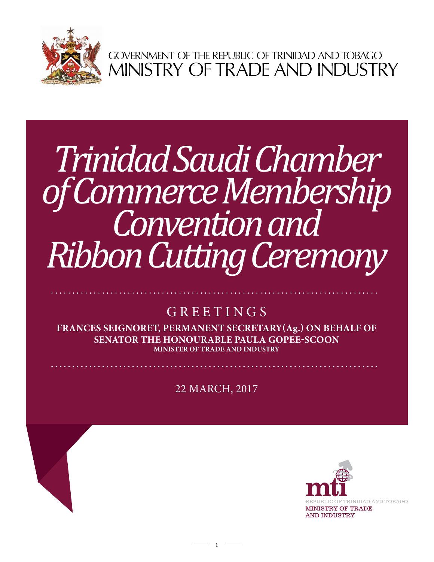

GOVERNMENT OF THE REPUBLIC OF TRINIDAD AND TOBAGO<br>MINISTRY OF TRADE AND INDUSTRY

# *Trinidad Saudi Chamber of Commerce Membership Convention and Ribbon Cutting Ceremony*

## GREETINGS

**Frances Seignoret, Permanent Secretary(ag.) ON BEHALF OF Senator the Honourable Paula Gopee-Scoon Minister of Trade and Industry**

22 mARCH, 2017

1

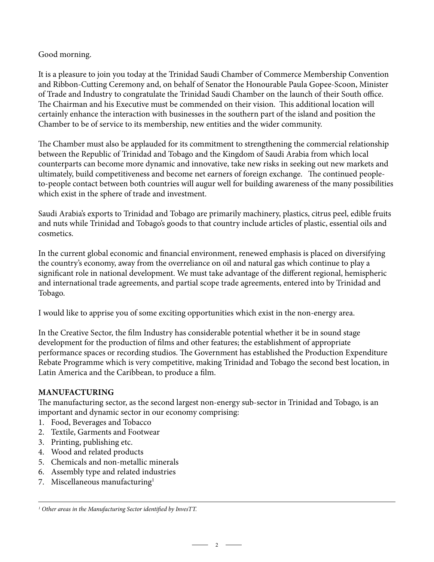### Good morning.

It is a pleasure to join you today at the Trinidad Saudi Chamber of Commerce Membership Convention and Ribbon-Cutting Ceremony and, on behalf of Senator the Honourable Paula Gopee-Scoon, Minister of Trade and Industry to congratulate the Trinidad Saudi Chamber on the launch of their South office. The Chairman and his Executive must be commended on their vision. This additional location will certainly enhance the interaction with businesses in the southern part of the island and position the Chamber to be of service to its membership, new entities and the wider community.

The Chamber must also be applauded for its commitment to strengthening the commercial relationship between the Republic of Trinidad and Tobago and the Kingdom of Saudi Arabia from which local counterparts can become more dynamic and innovative, take new risks in seeking out new markets and ultimately, build competitiveness and become net earners of foreign exchange. The continued peopleto-people contact between both countries will augur well for building awareness of the many possibilities which exist in the sphere of trade and investment.

Saudi Arabia's exports to Trinidad and Tobago are primarily machinery, plastics, citrus peel, edible fruits and nuts while Trinidad and Tobago's goods to that country include articles of plastic, essential oils and cosmetics.

In the current global economic and financial environment, renewed emphasis is placed on diversifying the country's economy, away from the overreliance on oil and natural gas which continue to play a significant role in national development. We must take advantage of the different regional, hemispheric and international trade agreements, and partial scope trade agreements, entered into by Trinidad and Tobago.

I would like to apprise you of some exciting opportunities which exist in the non-energy area.

In the Creative Sector, the film Industry has considerable potential whether it be in sound stage development for the production of films and other features; the establishment of appropriate performance spaces or recording studios. The Government has established the Production Expenditure Rebate Programme which is very competitive, making Trinidad and Tobago the second best location, in Latin America and the Caribbean, to produce a film.

#### **Manufacturing**

The manufacturing sector, as the second largest non-energy sub-sector in Trinidad and Tobago, is an important and dynamic sector in our economy comprising:

- 1. Food, Beverages and Tobacco
- 2. Textile, Garments and Footwear
- 3. Printing, publishing etc.
- 4. Wood and related products
- 5. Chemicals and non-metallic minerals
- 6. Assembly type and related industries
- 7. Miscellaneous manufacturing<sup>1</sup>

 $-2$   $-$ 

*<sup>1</sup> Other areas in the Manufacturing Sector identified by InvesTT.*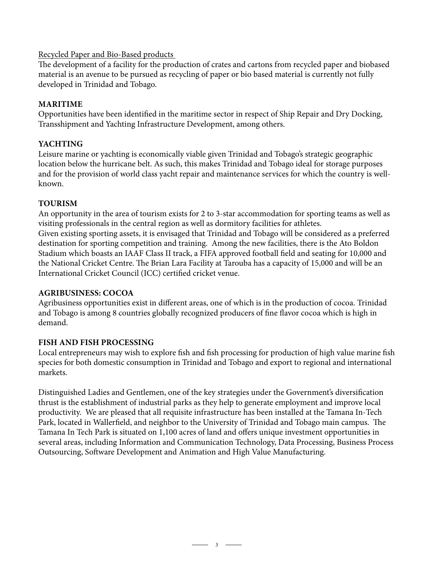#### Recycled Paper and Bio-Based products

The development of a facility for the production of crates and cartons from recycled paper and biobased material is an avenue to be pursued as recycling of paper or bio based material is currently not fully developed in Trinidad and Tobago.

#### **Maritime**

Opportunities have been identified in the maritime sector in respect of Ship Repair and Dry Docking, Transshipment and Yachting Infrastructure Development, among others.

#### **Yachting**

Leisure marine or yachting is economically viable given Trinidad and Tobago's strategic geographic location below the hurricane belt. As such, this makes Trinidad and Tobago ideal for storage purposes and for the provision of world class yacht repair and maintenance services for which the country is wellknown.

#### **Tourism**

An opportunity in the area of tourism exists for 2 to 3-star accommodation for sporting teams as well as visiting professionals in the central region as well as dormitory facilities for athletes. Given existing sporting assets, it is envisaged that Trinidad and Tobago will be considered as a preferred destination for sporting competition and training. Among the new facilities, there is the Ato Boldon Stadium which boasts an IAAF Class II track, a FIFA approved football field and seating for 10,000 and

the National Cricket Centre. The Brian Lara Facility at Tarouba has a capacity of 15,000 and will be an International Cricket Council (ICC) certified cricket venue.

#### **Agribusiness: Cocoa**

Agribusiness opportunities exist in different areas, one of which is in the production of cocoa. Trinidad and Tobago is among 8 countries globally recognized producers of fine flavor cocoa which is high in demand.

#### **Fish and Fish Processing**

Local entrepreneurs may wish to explore fish and fish processing for production of high value marine fish species for both domestic consumption in Trinidad and Tobago and export to regional and international markets.

Distinguished Ladies and Gentlemen, one of the key strategies under the Government's diversification thrust is the establishment of industrial parks as they help to generate employment and improve local productivity. We are pleased that all requisite infrastructure has been installed at the Tamana In-Tech Park, located in Wallerfield, and neighbor to the University of Trinidad and Tobago main campus. The Tamana In Tech Park is situated on 1,100 acres of land and offers unique investment opportunities in several areas, including Information and Communication Technology, Data Processing, Business Process Outsourcing, Software Development and Animation and High Value Manufacturing.